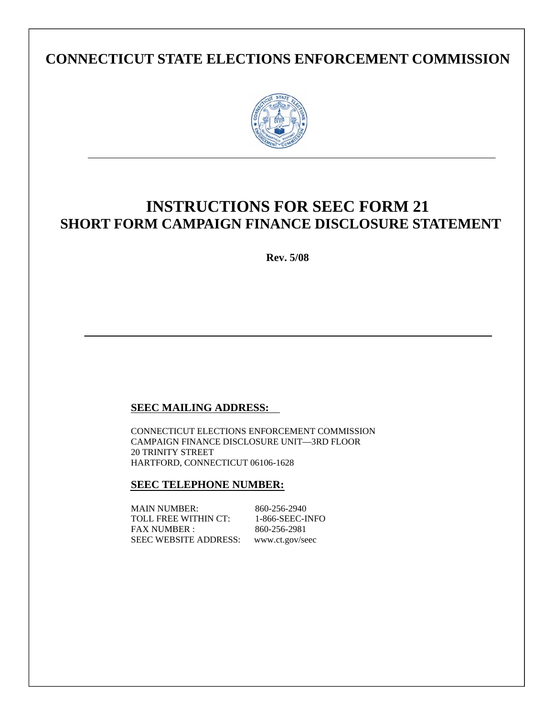# **CONNECTICUT STATE ELECTIONS ENFORCEMENT COMMISSION**



# **INSTRUCTIONS FOR SEEC FORM 21 SHORT FORM CAMPAIGN FINANCE DISCLOSURE STATEMENT**

**Rev. 5/08** 

# **SEEC MAILING ADDRESS:**

CONNECTICUT ELECTIONS ENFORCEMENT COMMISSION CAMPAIGN FINANCE DISCLOSURE UNIT—3RD FLOOR 20 TRINITY STREET HARTFORD, CONNECTICUT 06106-1628

## **SEEC TELEPHONE NUMBER:**

MAIN NUMBER: 860-256-2940 TOLL FREE WITHIN CT: 1-866-SEEC-INFO FAX NUMBER : 860-256-2981 SEEC WEBSITE ADDRESS: www.ct.gov/seec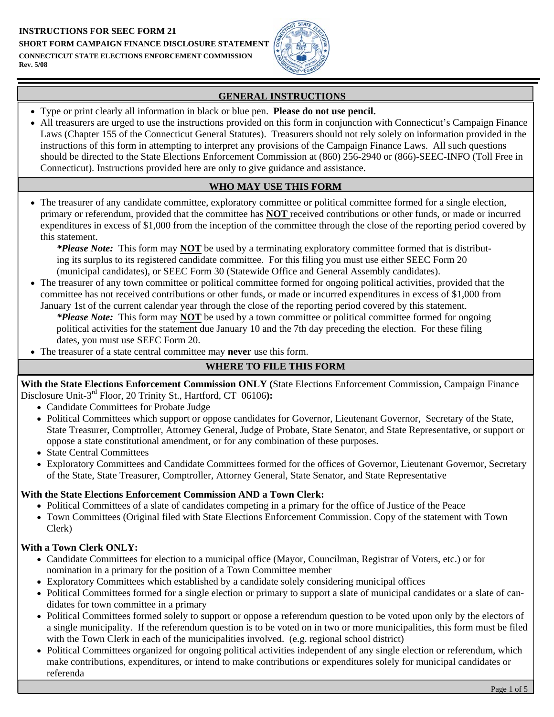

# **GENERAL INSTRUCTIONS**

- Type or print clearly all information in black or blue pen. **Please do not use pencil.**
- All treasurers are urged to use the instructions provided on this form in conjunction with Connecticut's Campaign Finance Laws (Chapter 155 of the Connecticut General Statutes). Treasurers should not rely solely on information provided in the instructions of this form in attempting to interpret any provisions of the Campaign Finance Laws. All such questions should be directed to the State Elections Enforcement Commission at (860) 256-2940 or (866)-SEEC-INFO (Toll Free in Connecticut). Instructions provided here are only to give guidance and assistance.

## **WHO MAY USE THIS FORM**

• The treasurer of any candidate committee, exploratory committee or political committee formed for a single election, primary or referendum, provided that the committee has **NOT** received contributions or other funds, or made or incurred expenditures in excess of \$1,000 from the inception of the committee through the close of the reporting period covered by this statement.

*\*Please Note:* This form may **NOT** be used by a terminating exploratory committee formed that is distributing its surplus to its registered candidate committee. For this filing you must use either SEEC Form 20 (municipal candidates), or SEEC Form 30 (Statewide Office and General Assembly candidates).

• The treasurer of any town committee or political committee formed for ongoing political activities, provided that the committee has not received contributions or other funds, or made or incurred expenditures in excess of \$1,000 from January 1st of the current calendar year through the close of the reporting period covered by this statement.

*\*Please Note:* This form may **NOT** be used by a town committee or political committee formed for ongoing political activities for the statement due January 10 and the 7th day preceding the election. For these filing dates, you must use SEEC Form 20.

• The treasurer of a state central committee may **never** use this form.

# **WHERE TO FILE THIS FORM**

**With the State Elections Enforcement Commission ONLY (**State Elections Enforcement Commission, Campaign Finance Disclosure Unit-3rd Floor, 20 Trinity St., Hartford, CT 06106**):** 

- Candidate Committees for Probate Judge
- Political Committees which support or oppose candidates for Governor, Lieutenant Governor, Secretary of the State, State Treasurer, Comptroller, Attorney General, Judge of Probate, State Senator, and State Representative, or support or oppose a state constitutional amendment, or for any combination of these purposes.
- State Central Committees
- Exploratory Committees and Candidate Committees formed for the offices of Governor, Lieutenant Governor, Secretary of the State, State Treasurer, Comptroller, Attorney General, State Senator, and State Representative

## **With the State Elections Enforcement Commission AND a Town Clerk:**

- Political Committees of a slate of candidates competing in a primary for the office of Justice of the Peace
- Town Committees (Original filed with State Elections Enforcement Commission. Copy of the statement with Town Clerk)

## **With a Town Clerk ONLY:**

- Candidate Committees for election to a municipal office (Mayor, Councilman, Registrar of Voters, etc.) or for nomination in a primary for the position of a Town Committee member
- Exploratory Committees which established by a candidate solely considering municipal offices
- Political Committees formed for a single election or primary to support a slate of municipal candidates or a slate of candidates for town committee in a primary
- Political Committees formed solely to support or oppose a referendum question to be voted upon only by the electors of a single municipality. If the referendum question is to be voted on in two or more municipalities, this form must be filed with the Town Clerk in each of the municipalities involved. (e.g. regional school district)
- Political Committees organized for ongoing political activities independent of any single election or referendum, which make contributions, expenditures, or intend to make contributions or expenditures solely for municipal candidates or referenda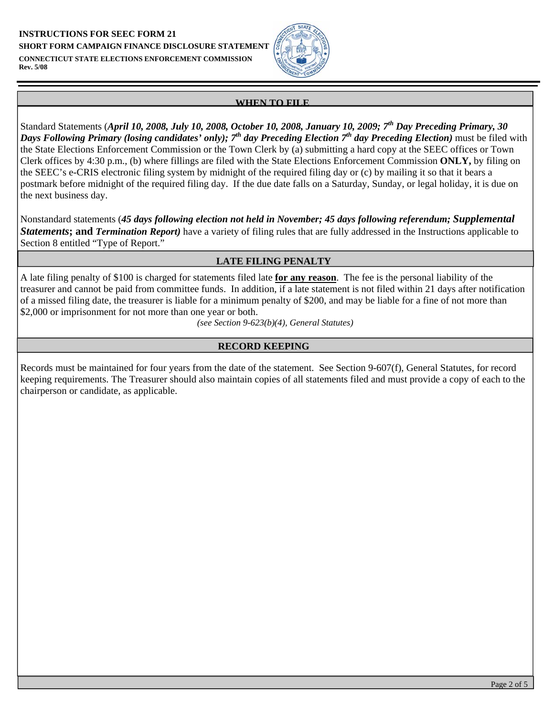**INSTRUCTIONS FOR SEEC FORM 21 SHORT FORM CAMPAIGN FINANCE DISCLOSURE STATEMENT CONNECTICUT STATE ELECTIONS ENFORCEMENT COMMISSION Rev. 5/08** 



#### **WHEN TO FILE**

Standard Statements (*April 10, 2008, July 10, 2008, October 10, 2008, January 10, 2009; 7th Day Preceding Primary, 30 Days Following Primary (losing candidates' only); 7th day Preceding Election 7th day Preceding Election)* must be filed with the State Elections Enforcement Commission or the Town Clerk by (a) submitting a hard copy at the SEEC offices or Town Clerk offices by 4:30 p.m., (b) where fillings are filed with the State Elections Enforcement Commission **ONLY,** by filing on the SEEC's e-CRIS electronic filing system by midnight of the required filing day or (c) by mailing it so that it bears a postmark before midnight of the required filing day. If the due date falls on a Saturday, Sunday, or legal holiday, it is due on the next business day.

Nonstandard statements (*45 days following election not held in November; 45 days following referendum; Supplemental*  **Statements: and** *Termination Report*) have a variety of filing rules that are fully addressed in the Instructions applicable to Section 8 entitled "Type of Report."

## **LATE FILING PENALTY**

A late filing penalty of \$100 is charged for statements filed late **for any reason**. The fee is the personal liability of the treasurer and cannot be paid from committee funds. In addition, if a late statement is not filed within 21 days after notification of a missed filing date, the treasurer is liable for a minimum penalty of \$200, and may be liable for a fine of not more than \$2,000 or imprisonment for not more than one year or both.

*(see Section 9-623(b)(4), General Statutes)* 

## **RECORD KEEPING**

Records must be maintained for four years from the date of the statement. See Section 9-607(f), General Statutes, for record keeping requirements. The Treasurer should also maintain copies of all statements filed and must provide a copy of each to the chairperson or candidate, as applicable.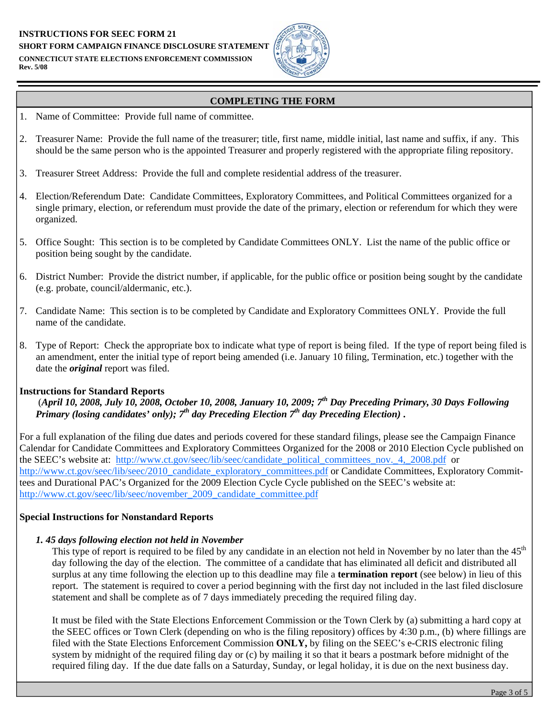#### **INSTRUCTIONS FOR SEEC FORM 21 SHORT FORM CAMPAIGN FINANCE DISCLOSURE STATEMENT CONNECTICUT STATE ELECTIONS ENFORCEMENT COMMISSION Rev. 5/08**



## **COMPLETING THE FORM**

- 1. Name of Committee: Provide full name of committee.
- 2. Treasurer Name: Provide the full name of the treasurer; title, first name, middle initial, last name and suffix, if any. This should be the same person who is the appointed Treasurer and properly registered with the appropriate filing repository.
- 3. Treasurer Street Address: Provide the full and complete residential address of the treasurer.
- 4. Election/Referendum Date: Candidate Committees, Exploratory Committees, and Political Committees organized for a single primary, election, or referendum must provide the date of the primary, election or referendum for which they were organized.
- 5. Office Sought: This section is to be completed by Candidate Committees ONLY. List the name of the public office or position being sought by the candidate.
- 6. District Number: Provide the district number, if applicable, for the public office or position being sought by the candidate (e.g. probate, council/aldermanic, etc.).
- 7. Candidate Name: This section is to be completed by Candidate and Exploratory Committees ONLY. Provide the full name of the candidate.
- 8. Type of Report: Check the appropriate box to indicate what type of report is being filed. If the type of report being filed is an amendment, enter the initial type of report being amended (i.e. January 10 filing, Termination, etc.) together with the date the *original* report was filed.

## **Instructions for Standard Reports**

 (*April 10, 2008, July 10, 2008, October 10, 2008, January 10, 2009; 7th Day Preceding Primary, 30 Days Following Primary (losing candidates' only); 7<sup>th</sup> day Preceding Election 7<sup>th</sup> day Preceding Election*)**.** 

For a full explanation of the filing due dates and periods covered for these standard filings, please see the Campaign Finance Calendar for Candidate Committees and Exploratory Committees Organized for the 2008 or 2010 Election Cycle published on the SEEC's website at: http://www.ct.gov/seec/lib/seec/candidate\_political\_committees\_nov. 4,\_2008.pdf or http://www.ct.gov/seec/lib/seec/2010\_candidate\_exploratory\_committees.pdf or Candidate Committees, Exploratory Committees and Durational PAC's Organized for the 2009 Election Cycle Cycle published on the SEEC's website at: http://www.ct.gov/seec/lib/seec/november\_2009\_candidate\_committee.pdf

#### **Special Instructions for Nonstandard Reports**

#### *1. 45 days following election not held in November*

This type of report is required to be filed by any candidate in an election not held in November by no later than the  $45<sup>th</sup>$ day following the day of the election. The committee of a candidate that has eliminated all deficit and distributed all surplus at any time following the election up to this deadline may file a **termination report** (see below) in lieu of this report. The statement is required to cover a period beginning with the first day not included in the last filed disclosure statement and shall be complete as of 7 days immediately preceding the required filing day.

It must be filed with the State Elections Enforcement Commission or the Town Clerk by (a) submitting a hard copy at the SEEC offices or Town Clerk (depending on who is the filing repository) offices by 4:30 p.m., (b) where fillings are filed with the State Elections Enforcement Commission **ONLY,** by filing on the SEEC's e-CRIS electronic filing system by midnight of the required filing day or (c) by mailing it so that it bears a postmark before midnight of the required filing day. If the due date falls on a Saturday, Sunday, or legal holiday, it is due on the next business day.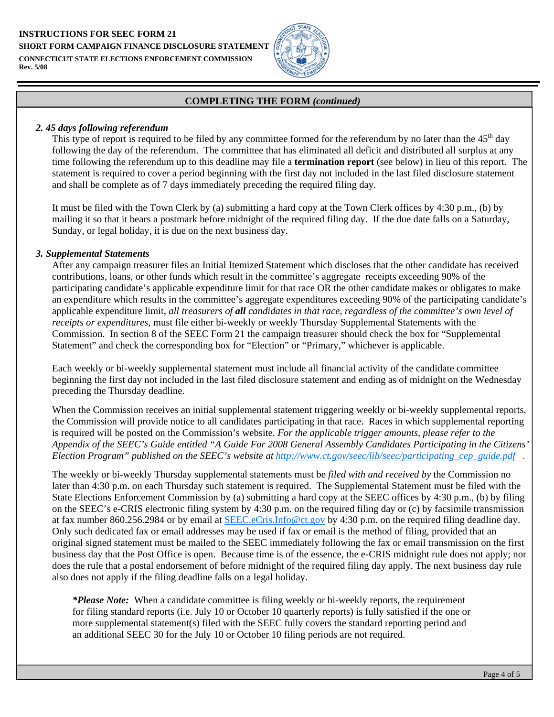**INSTRUCTIONS FOR SEEC FORM 21 SHORT FORM CAMPAIGN FINANCE DISCLOSURE STATEMENT CONNECTICUT STATE ELECTIONS ENFORCEMENT COMMISSION Rev. 5/08** 



#### **COMPLETING THE FORM** *(continued)*

#### *2. 45 days following referendum*

This type of report is required to be filed by any committee formed for the referendum by no later than the  $45<sup>th</sup>$  day following the day of the referendum. The committee that has eliminated all deficit and distributed all surplus at any time following the referendum up to this deadline may file a **termination report** (see below) in lieu of this report. The statement is required to cover a period beginning with the first day not included in the last filed disclosure statement and shall be complete as of 7 days immediately preceding the required filing day.

It must be filed with the Town Clerk by (a) submitting a hard copy at the Town Clerk offices by 4:30 p.m., (b) by mailing it so that it bears a postmark before midnight of the required filing day. If the due date falls on a Saturday, Sunday, or legal holiday, it is due on the next business day.

#### *3. Supplemental Statements*

After any campaign treasurer files an Initial Itemized Statement which discloses that the other candidate has received contributions, loans, or other funds which result in the committee's aggregate receipts exceeding 90% of the participating candidate's applicable expenditure limit for that race OR the other candidate makes or obligates to make an expenditure which results in the committee's aggregate expenditures exceeding 90% of the participating candidate's applicable expenditure limit, *all treasurers of all candidates in that race, regardless of the committee's own level of receipts or expenditures,* must file either bi-weekly or weekly Thursday Supplemental Statements with the Commission. In section 8 of the SEEC Form 21 the campaign treasurer should check the box for "Supplemental Statement" and check the corresponding box for "Election" or "Primary," whichever is applicable.

Each weekly or bi-weekly supplemental statement must include all financial activity of the candidate committee beginning the first day not included in the last filed disclosure statement and ending as of midnight on the Wednesday preceding the Thursday deadline.

When the Commission receives an initial supplemental statement triggering weekly or bi-weekly supplemental reports, the Commission will provide notice to all candidates participating in that race. Races in which supplemental reporting is required will be posted on the Commission's website. *For the applicable trigger amounts, please refer to the Appendix of the SEEC's Guide entitled "A Guide For 2008 General Assembly Candidates Participating in the Citizens' Election Program" published on the SEEC's website at http://www.ct.gov/seec/lib/seec/participating\_cep\_guide.pdf .* 

The weekly or bi-weekly Thursday supplemental statements must be *filed with and received by* the Commission no later than 4:30 p.m. on each Thursday such statement is required. The Supplemental Statement must be filed with the State Elections Enforcement Commission by (a) submitting a hard copy at the SEEC offices by 4:30 p.m., (b) by filing on the SEEC's e-CRIS electronic filing system by 4:30 p.m. on the required filing day or (c) by facsimile transmission at fax number 860.256.2984 or by email at SEEC.eCris.Info@ct.gov by 4:30 p.m. on the required filing deadline day. Only such dedicated fax or email addresses may be used if fax or email is the method of filing, provided that an original signed statement must be mailed to the SEEC immediately following the fax or email transmission on the first business day that the Post Office is open. Because time is of the essence, the e-CRIS midnight rule does not apply; nor does the rule that a postal endorsement of before midnight of the required filing day apply. The next business day rule also does not apply if the filing deadline falls on a legal holiday.

*\*Please Note:* When a candidate committee is filing weekly or bi-weekly reports, the requirement for filing standard reports (i.e. July 10 or October 10 quarterly reports) is fully satisfied if the one or more supplemental statement(s) filed with the SEEC fully covers the standard reporting period and an additional SEEC 30 for the July 10 or October 10 filing periods are not required.